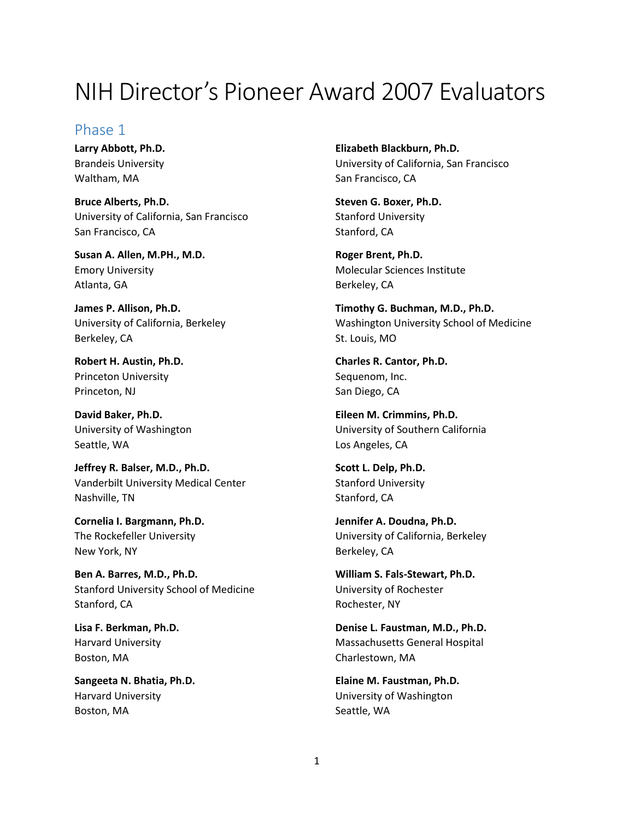# NIH Director's Pioneer Award 2007 Evaluators

## Phase 1

**Larry Abbott, Ph.D.** Brandeis University Waltham, MA

**Bruce Alberts, Ph.D.** University of California, San Francisco San Francisco, CA

**Susan A. Allen, M.PH., M.D.** Emory University Atlanta, GA

**James P. Allison, Ph.D.** University of California, Berkeley Berkeley, CA

**Robert H. Austin, Ph.D.** Princeton University Princeton, NJ

**David Baker, Ph.D.** University of Washington Seattle, WA

**Jeffrey R. Balser, M.D., Ph.D.** Vanderbilt University Medical Center Nashville, TN

**Cornelia I. Bargmann, Ph.D.** The Rockefeller University New York, NY

**Ben A. Barres, M.D., Ph.D.** Stanford University School of Medicine Stanford, CA

**Lisa F. Berkman, Ph.D.** Harvard University Boston, MA

**Sangeeta N. Bhatia, Ph.D.** Harvard University Boston, MA

**Elizabeth Blackburn, Ph.D.** University of California, San Francisco San Francisco, CA

**Steven G. Boxer, Ph.D.** Stanford University Stanford, CA

**Roger Brent, Ph.D.** Molecular Sciences Institute Berkeley, CA

**Timothy G. Buchman, M.D., Ph.D.** Washington University School of Medicine St. Louis, MO

**Charles R. Cantor, Ph.D.** Sequenom, Inc. San Diego, CA

**Eileen M. Crimmins, Ph.D.** University of Southern California Los Angeles, CA

**Scott L. Delp, Ph.D.** Stanford University Stanford, CA

**Jennifer A. Doudna, Ph.D.** University of California, Berkeley Berkeley, CA

**William S. Fals-Stewart, Ph.D.** University of Rochester Rochester, NY

**Denise L. Faustman, M.D., Ph.D.** Massachusetts General Hospital Charlestown, MA

**Elaine M. Faustman, Ph.D.** University of Washington Seattle, WA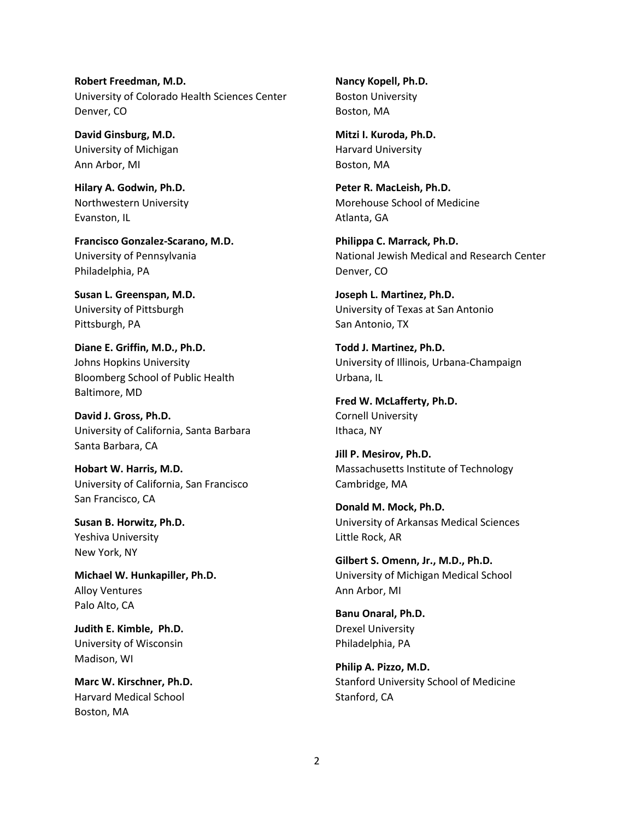**Robert Freedman, M.D.** University of Colorado Health Sciences Center Denver, CO

**David Ginsburg, M.D.** University of Michigan Ann Arbor, MI

**Hilary A. Godwin, Ph.D.** Northwestern University Evanston, IL

**Francisco Gonzalez-Scarano, M.D.** University of Pennsylvania Philadelphia, PA

**Susan L. Greenspan, M.D.** University of Pittsburgh Pittsburgh, PA

**Diane E. Griffin, M.D., Ph.D.** Johns Hopkins University Bloomberg School of Public Health Baltimore, MD

**David J. Gross, Ph.D.** University of California, Santa Barbara Santa Barbara, CA

**Hobart W. Harris, M.D.** University of California, San Francisco San Francisco, CA

**Susan B. Horwitz, Ph.D.** Yeshiva University New York, NY

**Michael W. Hunkapiller, Ph.D.** Alloy Ventures Palo Alto, CA

**Judith E. Kimble, Ph.D.** University of Wisconsin Madison, WI

**Marc W. Kirschner, Ph.D.** Harvard Medical School Boston, MA

**Nancy Kopell, Ph.D.** Boston University Boston, MA

**Mitzi I. Kuroda, Ph.D.** Harvard University Boston, MA

**Peter R. MacLeish, Ph.D.** Morehouse School of Medicine Atlanta, GA

**Philippa C. Marrack, Ph.D.** National Jewish Medical and Research Center Denver, CO

**Joseph L. Martinez, Ph.D.** University of Texas at San Antonio San Antonio, TX

**Todd J. Martinez, Ph.D.** University of Illinois, Urbana-Champaign Urbana, IL

**Fred W. McLafferty, Ph.D.** Cornell University Ithaca, NY

**Jill P. Mesirov, Ph.D.** Massachusetts Institute of Technology Cambridge, MA

**Donald M. Mock, Ph.D.** University of Arkansas Medical Sciences Little Rock, AR

**Gilbert S. Omenn, Jr., M.D., Ph.D.** University of Michigan Medical School Ann Arbor, MI

**Banu Onaral, Ph.D.** Drexel University Philadelphia, PA

**Philip A. Pizzo, M.D.** Stanford University School of Medicine Stanford, CA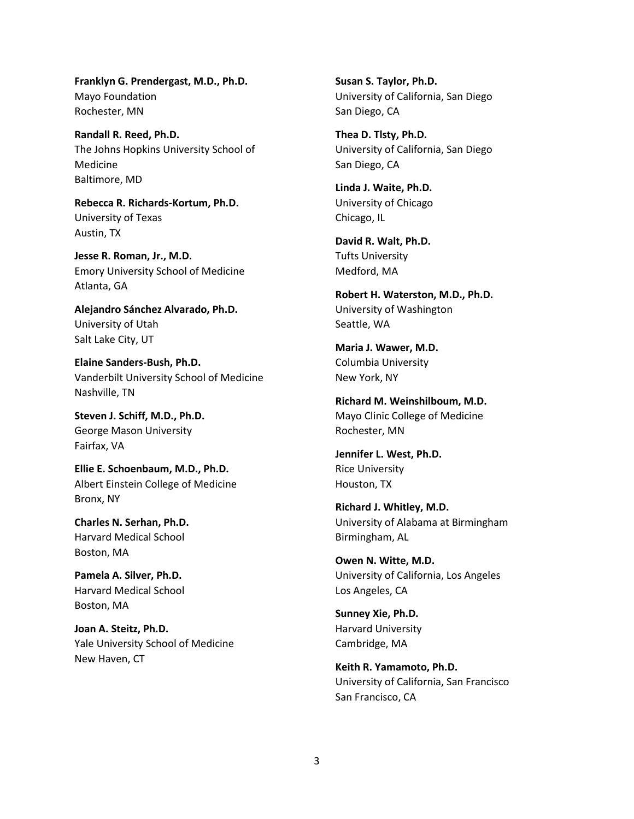**Franklyn G. Prendergast, M.D., Ph.D.** Mayo Foundation Rochester, MN

**Randall R. Reed, Ph.D.** The Johns Hopkins University School of Medicine Baltimore, MD

**Rebecca R. Richards-Kortum, Ph.D.** University of Texas Austin, TX

**Jesse R. Roman, Jr., M.D.** Emory University School of Medicine Atlanta, GA

**Alejandro Sánchez Alvarado, Ph.D.** University of Utah Salt Lake City, UT

**Elaine Sanders-Bush, Ph.D.** Vanderbilt University School of Medicine Nashville, TN

**Steven J. Schiff, M.D., Ph.D.** George Mason University Fairfax, VA

**Ellie E. Schoenbaum, M.D., Ph.D.** Albert Einstein College of Medicine Bronx, NY

**Charles N. Serhan, Ph.D.** Harvard Medical School Boston, MA

**Pamela A. Silver, Ph.D.** Harvard Medical School Boston, MA

**Joan A. Steitz, Ph.D.** Yale University School of Medicine New Haven, CT

**Susan S. Taylor, Ph.D.** University of California, San Diego San Diego, CA

**Thea D. Tlsty, Ph.D.** University of California, San Diego San Diego, CA

**Linda J. Waite, Ph.D.** University of Chicago Chicago, IL

**David R. Walt, Ph.D.** Tufts University Medford, MA

**Robert H. Waterston, M.D., Ph.D.** University of Washington Seattle, WA

**Maria J. Wawer, M.D.** Columbia University New York, NY

**Richard M. Weinshilboum, M.D.** Mayo Clinic College of Medicine Rochester, MN

**Jennifer L. West, Ph.D.** Rice University Houston, TX

**Richard J. Whitley, M.D.** University of Alabama at Birmingham Birmingham, AL

**Owen N. Witte, M.D.** University of California, Los Angeles Los Angeles, CA

**Sunney Xie, Ph.D.** Harvard University Cambridge, MA

**Keith R. Yamamoto, Ph.D.** University of California, San Francisco San Francisco, CA